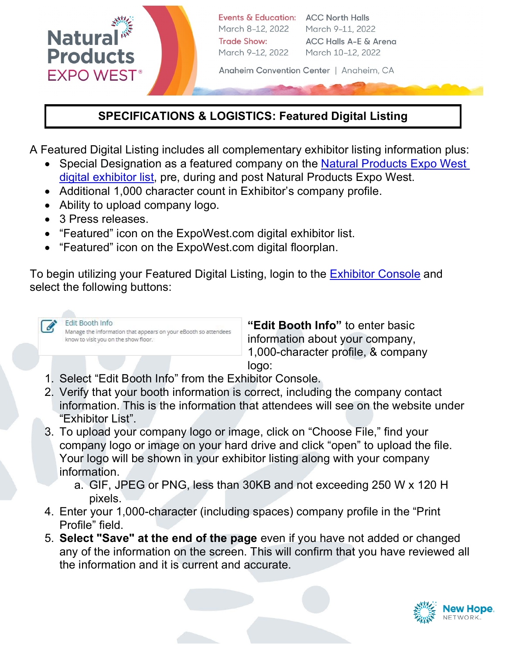

## **SPECIFICATIONS & LOGISTICS: Featured Digital Listing**

A Featured Digital Listing includes all complementary exhibitor listing information plus:

- Special Designation as a featured company on the [Natural Products Expo West](https://www.expowest.com/en/exhibitors/exhibitor-list.html) [digital exhibitor list,](https://www.expowest.com/en/exhibitors/exhibitor-list.html) pre, during and post Natural Products Expo West.
- Additional 1,000 character count in Exhibitor's company profile.
- Ability to upload company logo.
- 3 Press releases.
- "Featured" icon on the ExpoWest.com digital exhibitor list.
- "Featured" icon on the ExpoWest.com digital floorplan.

To begin utilizing your Featured Digital Listing, login to the [Exhibitor Console](https://exhibitor.expowest.com/ew22/Public/e_Login.aspx?FromPage=e_ExhibitorConsole) and select the following buttons:



**"Edit Booth Info"** to enter basic information about your company, 1,000-character profile, & company logo:

- 1. Select "Edit Booth Info" from the Exhibitor Console.
- 2. Verify that your booth information is correct, including the company contact information. This is the information that attendees will see on the website under "Exhibitor List".
- 3. To upload your company logo or image, click on "Choose File," find your company logo or image on your hard drive and click "open" to upload the file. Your logo will be shown in your exhibitor listing along with your company information.
	- a. GIF, JPEG or PNG, less than 30KB and not exceeding 250 W x 120 H pixels.
- 4. Enter your 1,000-character (including spaces) company profile in the "Print Profile" field.
- 5. **Select "Save" at the end of the page** even if you have not added or changed any of the information on the screen. This will confirm that you have reviewed all the information and it is current and accurate.